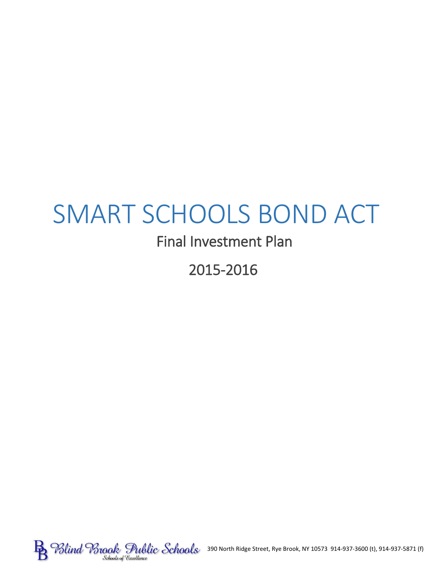# SMART SCHOOLS BOND ACT

# Final Investment Plan

2015-2016

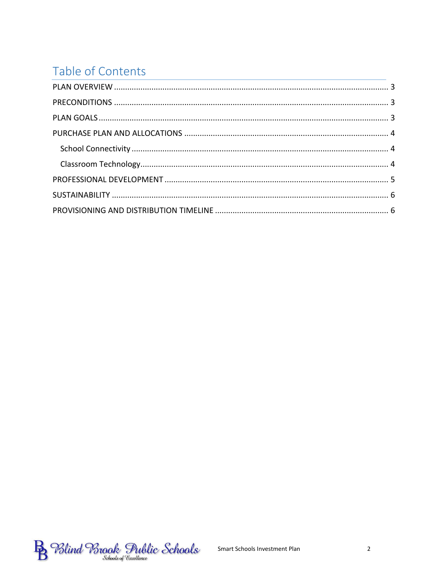# Table of Contents

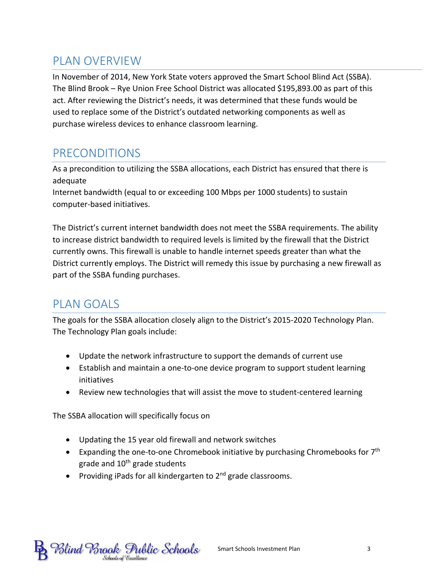# <span id="page-2-0"></span>PLAN OVERVIEW

In November of 2014, New York State voters approved the Smart School Blind Act (SSBA). The Blind Brook – Rye Union Free School District was allocated \$195,893.00 as part of this act. After reviewing the District's needs, it was determined that these funds would be used to replace some of the District's outdated networking components as well as purchase wireless devices to enhance classroom learning.

# <span id="page-2-1"></span>PRECONDITIONS

As a precondition to utilizing the SSBA allocations, each District has ensured that there is adequate Internet bandwidth (equal to or exceeding 100 Mbps per 1000 students) to sustain

computer-based initiatives.

The District's current internet bandwidth does not meet the SSBA requirements. The ability to increase district bandwidth to required levels is limited by the firewall that the District currently owns. This firewall is unable to handle internet speeds greater than what the District currently employs. The District will remedy this issue by purchasing a new firewall as part of the SSBA funding purchases.

# <span id="page-2-2"></span>PLAN GOALS

The goals for the SSBA allocation closely align to the District's 2015-2020 Technology Plan. The Technology Plan goals include:

- Update the network infrastructure to support the demands of current use
- Establish and maintain a one-to-one device program to support student learning initiatives
- Review new technologies that will assist the move to student-centered learning

The SSBA allocation will specifically focus on

- Updating the 15 year old firewall and network switches
- **Expanding the one-to-one Chromebook initiative by purchasing Chromebooks for**  $7<sup>th</sup>$ grade and  $10<sup>th</sup>$  grade students
- Providing iPads for all kindergarten to  $2<sup>nd</sup>$  grade classrooms.

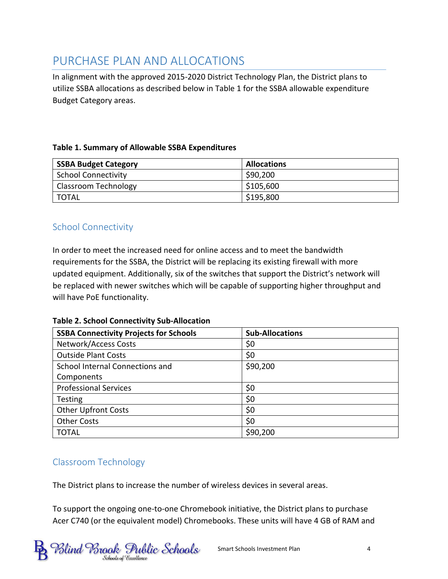# <span id="page-3-0"></span>PURCHASE PLAN AND ALLOCATIONS

In alignment with the approved 2015-2020 District Technology Plan, the District plans to utilize SSBA allocations as described below in Table 1 for the SSBA allowable expenditure Budget Category areas.

#### **Table 1. Summary of Allowable SSBA Expenditures**

| <b>SSBA Budget Category</b> | <b>Allocations</b> |
|-----------------------------|--------------------|
| <b>School Connectivity</b>  | \$90,200           |
| <b>Classroom Technology</b> | \$105,600          |
| l TOTAL                     | \$195,800          |

#### <span id="page-3-1"></span>School Connectivity

In order to meet the increased need for online access and to meet the bandwidth requirements for the SSBA, the District will be replacing its existing firewall with more updated equipment. Additionally, six of the switches that support the District's network will be replaced with newer switches which will be capable of supporting higher throughput and will have PoE functionality.

#### **Table 2. School Connectivity Sub-Allocation**

| <b>SSBA Connectivity Projects for Schools</b> | <b>Sub-Allocations</b> |
|-----------------------------------------------|------------------------|
| <b>Network/Access Costs</b>                   | \$0                    |
| <b>Outside Plant Costs</b>                    | \$0                    |
| School Internal Connections and               | \$90,200               |
| Components                                    |                        |
| <b>Professional Services</b>                  | \$0                    |
| <b>Testing</b>                                | \$0                    |
| <b>Other Upfront Costs</b>                    | \$0                    |
| <b>Other Costs</b>                            | \$0                    |
| <b>TOTAL</b>                                  | \$90,200               |

#### <span id="page-3-2"></span>Classroom Technology

The District plans to increase the number of wireless devices in several areas.

To support the ongoing one-to-one Chromebook initiative, the District plans to purchase Acer C740 (or the equivalent model) Chromebooks. These units will have 4 GB of RAM and

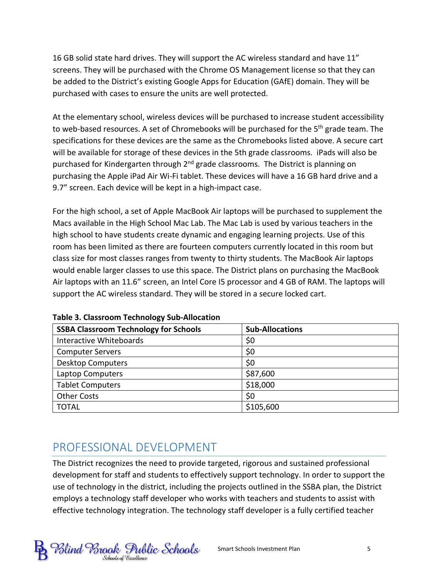16 GB solid state hard drives. They will support the AC wireless standard and have 11" screens. They will be purchased with the Chrome OS Management license so that they can be added to the District's existing Google Apps for Education (GAfE) domain. They will be purchased with cases to ensure the units are well protected.

At the elementary school, wireless devices will be purchased to increase student accessibility to web-based resources. A set of Chromebooks will be purchased for the 5<sup>th</sup> grade team. The specifications for these devices are the same as the Chromebooks listed above. A secure cart will be available for storage of these devices in the 5th grade classrooms. iPads will also be purchased for Kindergarten through 2<sup>nd</sup> grade classrooms. The District is planning on purchasing the Apple iPad Air Wi-Fi tablet. These devices will have a 16 GB hard drive and a 9.7" screen. Each device will be kept in a high-impact case.

For the high school, a set of Apple MacBook Air laptops will be purchased to supplement the Macs available in the High School Mac Lab. The Mac Lab is used by various teachers in the high school to have students create dynamic and engaging learning projects. Use of this room has been limited as there are fourteen computers currently located in this room but class size for most classes ranges from twenty to thirty students. The MacBook Air laptops would enable larger classes to use this space. The District plans on purchasing the MacBook Air laptops with an 11.6" screen, an Intel Core I5 processor and 4 GB of RAM. The laptops will support the AC wireless standard. They will be stored in a secure locked cart.

| <b>SSBA Classroom Technology for Schools</b> | <b>Sub-Allocations</b> |
|----------------------------------------------|------------------------|
| Interactive Whiteboards                      | \$0                    |
| <b>Computer Servers</b>                      | \$0                    |
| <b>Desktop Computers</b>                     | \$0                    |
| Laptop Computers                             | \$87,600               |
| <b>Tablet Computers</b>                      | \$18,000               |
| <b>Other Costs</b>                           | \$0                    |
| <b>TOTAL</b>                                 | \$105,600              |

**Table 3. Classroom Technology Sub-Allocation**

# <span id="page-4-0"></span>PROFESSIONAL DEVELOPMENT

The District recognizes the need to provide targeted, rigorous and sustained professional development for staff and students to effectively support technology. In order to support the use of technology in the district, including the projects outlined in the SSBA plan, the District employs a technology staff developer who works with teachers and students to assist with effective technology integration. The technology staff developer is a fully certified teacher